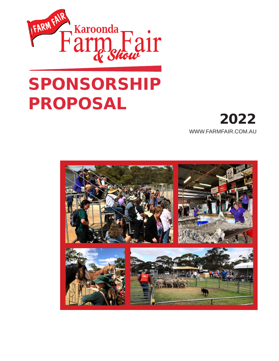

# PROPOSAL



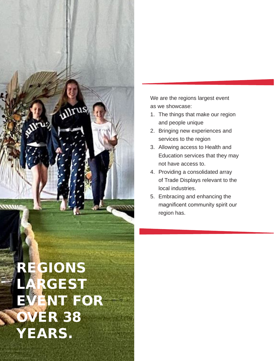

*Mrus* 

We are the regions largest event as we showcase:

- 1. The things that make our region and people unique
- 2. Bringing new experiences and services to the region
- 3. Allowing access to Health and Education services that they may not have access to.
- 4. Providing a consolidated array of Trade Displays relevant to the local industries.
- 5. Embracing and enhancing the magnificent community spirit our region has.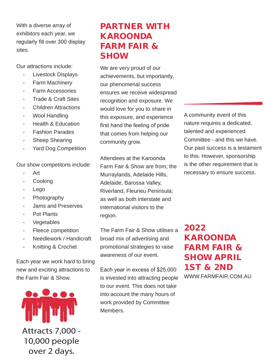With a diverse array of exhibitors each year, we regularly fill over 300 display sites.

Our attractions include:

- Livestock Displays
- Farm Machinery
- Farm Accessories
- Trade & Craft Sites
- **Children Attractions**
- Wool Handling
- Health & Education
- Fashion Parades
- **Sheep Shearing**
- Yard Dog Competition

Our show competitons include:

- Art
- Cooking
- Lego
- **Photography**
- Jams and Preserves
- Pot Plants
- Vegetables
- Fleece competition
- Needlework / Handicraft
- Knitting & Crochet

Each year we work hard to bring new and exciting attractions to the Farm Fair & Show.



## PARTNER WITH KAROONDA FARM FAIR & SHOW

We are very proud of our achievements, but importantly, our phenomenal success ensures we receive widespread recognition and exposure. We would love for you to share in this exposure, and experience first hand the feeling of pride that comes from helping our community grow.

Attendees at the Karoonda Farm Fair & Show are from; the Murraylands, Adelaide Hills, Adelaide, Barossa Valley, Riverland, Fleurieu Peninsula; as well as both interstate and international visitors to the region.

The Farm Fair & Show utilises a broad mix of advertising and promotional strategies to raise awareness of our event.

Each year in excess of \$25,000 is invested into attracting people to our event. This does not take into account the many hours of work provided by Committee Members.

A community event of this nature requires a dedicated, talented and experienced Committee - and this we have. Our past success is a testament to this. However, sponsorship is the other requirement that is necessary to ensure success.

2022 KAROONDA FARM FAIR & SHOW APRIL 1ST & 2ND WWW.FARMFAIR.COM.AU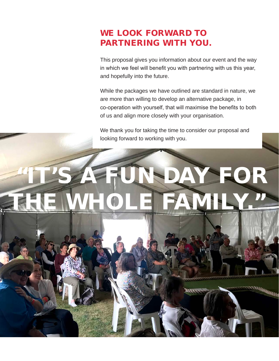## WE LOOK FORWARD TO PARTNERING WITH YOU.

This proposal gives you information about our event and the way in which we feel will benefit you with partnering with us this year, and hopefully into the future.

While the packages we have outlined are standard in nature, we are more than willing to develop an alternative package, in co-operation with yourself, that will maximise the benefits to both of us and align more closely with your organisation.

We thank you for taking the time to consider our proposal and looking forward to working with you.

## FOR THE WHOLE FAMILY."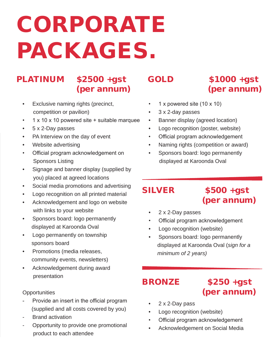## CORPORATE PACKAGES.

## PLATINUM \$2500 +gst (per annum)

- Exclusive naming rights (precinct, competition or pavilion)
- 1 x 10 x 10 powered site + suitable marquee
- 5 x 2-Day passes
- PA Interview on the day of event
- Website advertising
- Official program acknowledgement on Sponsors Listing
- Signage and banner display (supplied by you) placed at agreed locations
- Social media promotions and advertising
- Logo recognition on all printed material
- Acknowledgement and logo on website with links to your website
- Sponsors board: logo permanently displayed at Karoonda Oval
- Logo permanently on township sponsors board
- Promotions (media releases, community events, newsletters)
- Acknowledgement during award presentation

### **Opportunities**

- Provide an insert in the official program (supplied and all costs covered by you)
- Brand activation
- Opportunity to provide one promotional product to each attendee

## GOLD \$1000 +gst (per annum)

- 1 x powered site (10 x 10)
- 3 x 2-day passes
- Banner display (agreed location)
- Logo recognition (poster, website)
- Official program acknowledgement
- Naming rights (competition or award)
- Sponsors board: logo permanently displayed at Karoonda Oval

## SILVER \$500 +gst (per annum)

- 2 x 2-Day passes
- Official program acknowledgement
- Logo recognition (website)
- Sponsors board: logo permanently displayed at Karoonda Oval (*sign for a minimum of 2 years)*

## BRONZE \$250 +gst

## (per annum)

- 2 x 2-Day pass
- Logo recognition (website)
- Official program acknowledgement
- Acknowledgement on Social Media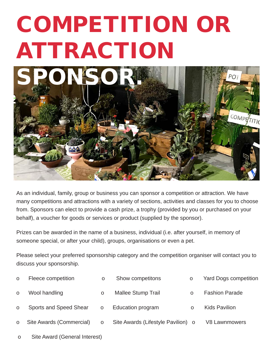## COMPETITION OR ATTRACTION



As an individual, family, group or business you can sponsor a competition or attraction. We have many competitions and attractions with a variety of sections, activities and classes for you to choose from. Sponsors can elect to provide a cash prize, a trophy (provided by you or purchased on your behalf), a voucher for goods or services or product (supplied by the sponsor).

Prizes can be awarded in the name of a business, individual (i.e. after yourself, in memory of someone special, or after your child), groups, organisations or even a pet.

Please select your preferred sponsorship category and the competition organiser will contact you to discuss your sponsorship.

| $\Omega$ | Fleece competition       | $\Omega$ | Show competitons                   | O        | <b>Yard Dogs competition</b> |
|----------|--------------------------|----------|------------------------------------|----------|------------------------------|
| $\Omega$ | Wool handling            | $\Omega$ | <b>Mallee Stump Trail</b>          | $\Omega$ | <b>Fashion Parade</b>        |
| $\Omega$ | Sports and Speed Shear   | O        | Education program                  | O        | <b>Kids Pavilion</b>         |
| $\Omega$ | Site Awards (Commercial) | $\Omega$ | Site Awards (Lifestyle Pavilion) o |          | <b>V8 Lawnmowers</b>         |
|          |                          |          |                                    |          |                              |

o Site Award (General Interest)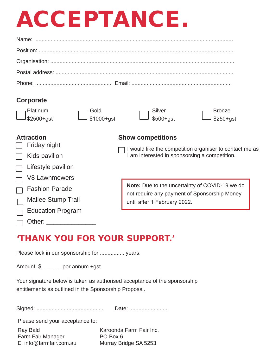## ACCEPTANCE.

| <b>Corporate</b> |  |
|------------------|--|
|                  |  |
|                  |  |
|                  |  |
|                  |  |
|                  |  |

### **Corporate**

| $\Box$ Platinum   | $\Box$ Gold       | $\Box$ Silver    |                            |
|-------------------|-------------------|------------------|----------------------------|
| $\Box$ \$2500+gst | $\Box$ \$1000+gst | $\Box$ \$500+gst | $\Box$ Bronze<br>\$250+gst |

### **Attraction Show competitions**

| Friday night              |                                                                                                      |  |  |  |
|---------------------------|------------------------------------------------------------------------------------------------------|--|--|--|
| Kids pavilion             | would like the competition organiser to contact me as<br>am interested in sponsorsing a competition. |  |  |  |
| Lifestyle pavilion        |                                                                                                      |  |  |  |
| V8 Lawnmowers             |                                                                                                      |  |  |  |
| <b>Fashion Parade</b>     | Note: Due to the uncertainty of COVID-19 we do                                                       |  |  |  |
| <b>Mallee Stump Trail</b> | not require any payment of Sponsorship Money<br>until after 1 February 2022.                         |  |  |  |
| <b>Education Program</b>  |                                                                                                      |  |  |  |
| Other:                    |                                                                                                      |  |  |  |

## 'THANK YOU FOR YOUR SUPPORT.'

Please lock in our sponsorship for ................. years.

Amount: \$ ............ per annum +gst.

Your signature below is taken as authorised acceptance of the sponsorship entitlements as outlined in the Sponsorship Proposal.

Signed: ............................................ Date: ..........................

Please send your acceptance to:

Ray Bald Karoonda Farm Fair Inc. Farm Fair Manager PO Box 6 E: info@farmfair.com.au Murray Bridge SA 5253